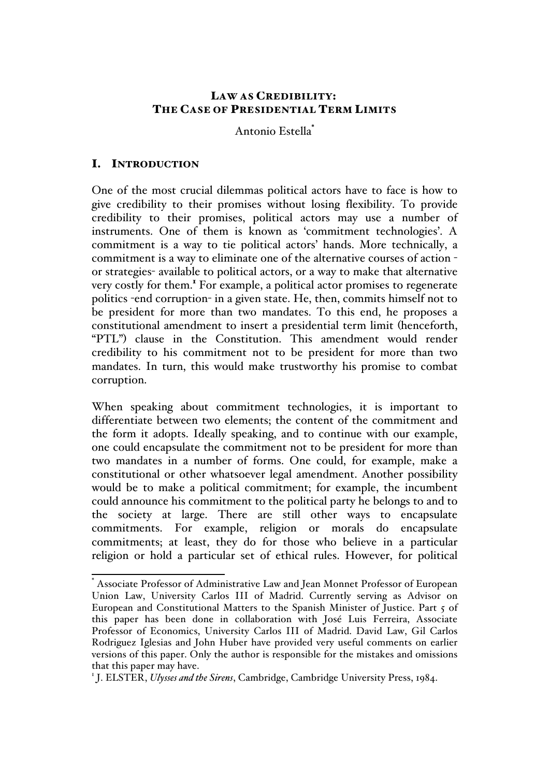## LAW AS CREDIBILITY: THE CASE OF PRESIDENTIAL TERM LIMITS

Antonio Estella\*

# I. INTRODUCTION

One of the most crucial dilemmas political actors have to face is how to give credibility to their promises without losing flexibility. To provide credibility to their promises, political actors may use a number of instruments. One of them is known as 'commitment technologies'. A commitment is a way to tie political actors' hands. More technically, a commitment is a way to eliminate one of the alternative courses of action or strategies- available to political actors, or a way to make that alternative very costly for them.<sup>1</sup> For example, a political actor promises to regenerate politics -end corruption- in a given state. He, then, commits himself not to be president for more than two mandates. To this end, he proposes a constitutional amendment to insert a presidential term limit (henceforth, "PTL") clause in the Constitution. This amendment would render credibility to his commitment not to be president for more than two mandates. In turn, this would make trustworthy his promise to combat corruption.

When speaking about commitment technologies, it is important to differentiate between two elements; the content of the commitment and the form it adopts. Ideally speaking, and to continue with our example, one could encapsulate the commitment not to be president for more than two mandates in a number of forms. One could, for example, make a constitutional or other whatsoever legal amendment. Another possibility would be to make a political commitment; for example, the incumbent could announce his commitment to the political party he belongs to and to the society at large. There are still other ways to encapsulate commitments. For example, religion or morals do encapsulate commitments; at least, they do for those who believe in a particular religion or hold a particular set of ethical rules. However, for political

 <sup>\*</sup> Associate Professor of Administrative Law and Jean Monnet Professor of European Union Law, University Carlos III of Madrid. Currently serving as Advisor on European and Constitutional Matters to the Spanish Minister of Justice. Part 5 of this paper has been done in collaboration with José Luis Ferreira, Associate Professor of Economics, University Carlos III of Madrid. David Law, Gil Carlos Rodriguez Iglesias and John Huber have provided very useful comments on earlier versions of this paper. Only the author is responsible for the mistakes and omissions that this paper may have.

<sup>1</sup> J. ELSTER, *Ulysses and the Sirens*, Cambridge, Cambridge University Press, 1984.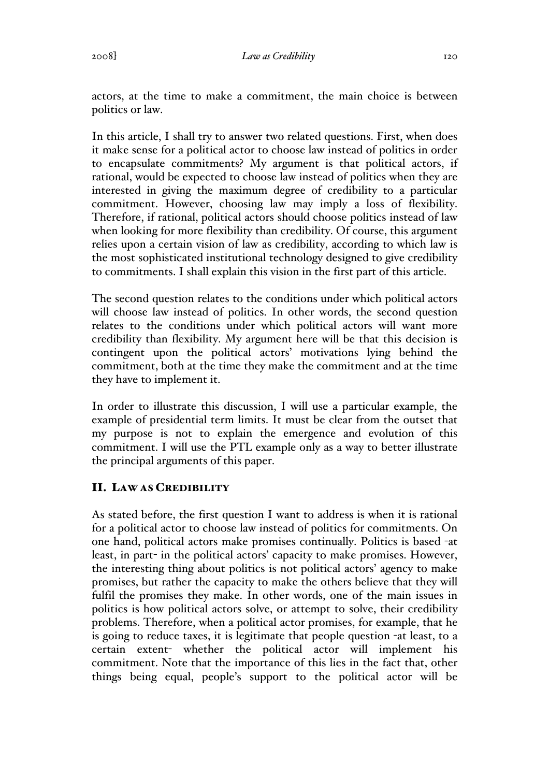In this article, I shall try to answer two related questions. First, when does it make sense for a political actor to choose law instead of politics in order to encapsulate commitments? My argument is that political actors, if rational, would be expected to choose law instead of politics when they are interested in giving the maximum degree of credibility to a particular commitment. However, choosing law may imply a loss of flexibility. Therefore, if rational, political actors should choose politics instead of law when looking for more flexibility than credibility. Of course, this argument relies upon a certain vision of law as credibility, according to which law is the most sophisticated institutional technology designed to give credibility to commitments. I shall explain this vision in the first part of this article.

The second question relates to the conditions under which political actors will choose law instead of politics. In other words, the second question relates to the conditions under which political actors will want more credibility than flexibility. My argument here will be that this decision is contingent upon the political actors' motivations lying behind the commitment, both at the time they make the commitment and at the time they have to implement it.

In order to illustrate this discussion, I will use a particular example, the example of presidential term limits. It must be clear from the outset that my purpose is not to explain the emergence and evolution of this commitment. I will use the PTL example only as a way to better illustrate the principal arguments of this paper.

## II. LAW AS CREDIBILITY

As stated before, the first question I want to address is when it is rational for a political actor to choose law instead of politics for commitments. On one hand, political actors make promises continually. Politics is based -at least, in part- in the political actors' capacity to make promises. However, the interesting thing about politics is not political actors' agency to make promises, but rather the capacity to make the others believe that they will fulfil the promises they make. In other words, one of the main issues in politics is how political actors solve, or attempt to solve, their credibility problems. Therefore, when a political actor promises, for example, that he is going to reduce taxes, it is legitimate that people question -at least, to a certain extent- whether the political actor will implement his commitment. Note that the importance of this lies in the fact that, other things being equal, people's support to the political actor will be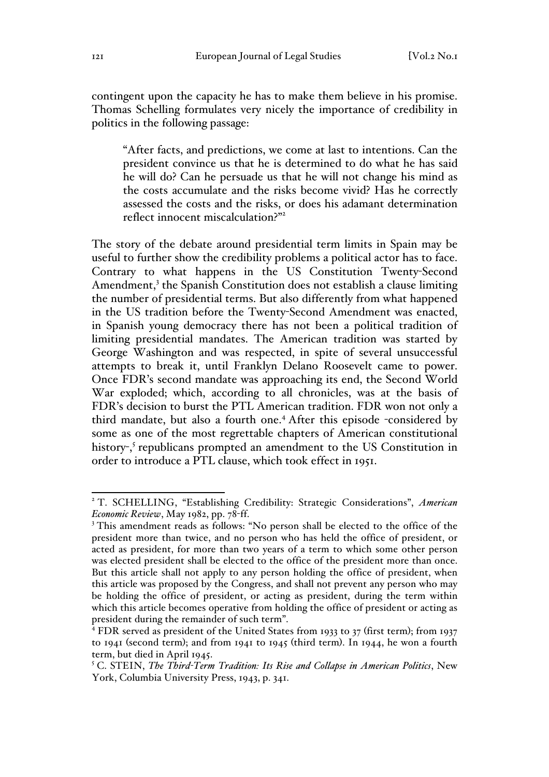contingent upon the capacity he has to make them believe in his promise. Thomas Schelling formulates very nicely the importance of credibility in politics in the following passage:

"After facts, and predictions, we come at last to intentions. Can the president convince us that he is determined to do what he has said he will do? Can he persuade us that he will not change his mind as the costs accumulate and the risks become vivid? Has he correctly assessed the costs and the risks, or does his adamant determination reflect innocent miscalculation?"<sup>2</sup>

The story of the debate around presidential term limits in Spain may be useful to further show the credibility problems a political actor has to face. Contrary to what happens in the US Constitution Twenty-Second Amendment, $3$  the Spanish Constitution does not establish a clause limiting the number of presidential terms. But also differently from what happened in the US tradition before the Twenty-Second Amendment was enacted, in Spanish young democracy there has not been a political tradition of limiting presidential mandates. The American tradition was started by George Washington and was respected, in spite of several unsuccessful attempts to break it, until Franklyn Delano Roosevelt came to power. Once FDR's second mandate was approaching its end, the Second World War exploded; which, according to all chronicles, was at the basis of FDR's decision to burst the PTL American tradition. FDR won not only a third mandate, but also a fourth one.<sup>4</sup> After this episode -considered by some as one of the most regrettable chapters of American constitutional history-, <sup>5</sup> republicans prompted an amendment to the US Constitution in order to introduce a PTL clause, which took effect in 1951.

 <sup>2</sup> T. SCHELLING, "Establishing Credibility: Strategic Considerations", *American Economic Review*, May 1982, pp. 78-ff.

<sup>&</sup>lt;sup>3</sup> This amendment reads as follows: "No person shall be elected to the office of the president more than twice, and no person who has held the office of president, or acted as president, for more than two years of a term to which some other person was elected president shall be elected to the office of the president more than once. But this article shall not apply to any person holding the office of president, when this article was proposed by the Congress, and shall not prevent any person who may be holding the office of president, or acting as president, during the term within which this article becomes operative from holding the office of president or acting as president during the remainder of such term".

<sup>&</sup>lt;sup>4</sup> FDR served as president of the United States from 1933 to 37 (first term); from 1937 to 1941 (second term); and from 1941 to 1945 (third term). In 1944, he won a fourth term, but died in April 1945.

<sup>5</sup> C. STEIN, *The Third-Term Tradition: Its Rise and Collapse in American Politics*, New York, Columbia University Press, 1943, p. 341.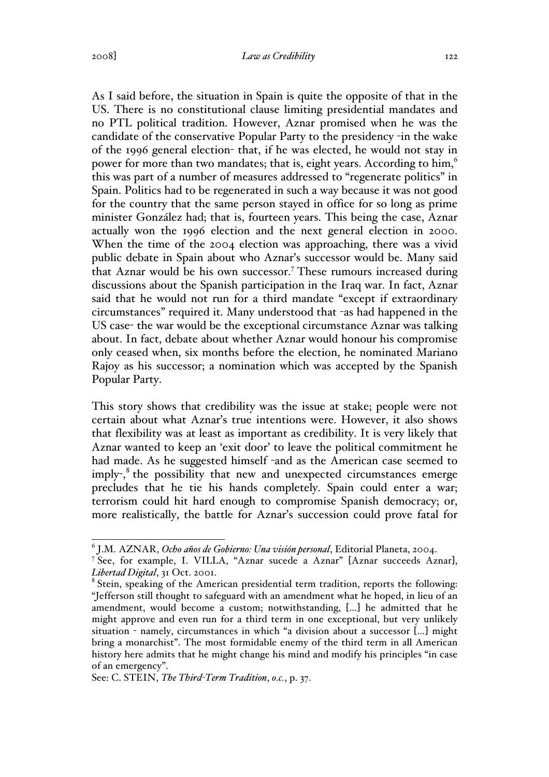As I said before, the situation in Spain is quite the opposite of that in the US. There is no constitutional clause limiting presidential mandates and no PTL political tradition. However, Aznar promised when he was the candidate of the conservative Popular Party to the presidency -in the wake of the 1996 general election- that, if he was elected, he would not stay in power for more than two mandates; that is, eight years. According to him,<sup>6</sup> this was part of a number of measures addressed to "regenerate politics" in Spain. Politics had to be regenerated in such a way because it was not good for the country that the same person stayed in office for so long as prime minister González had; that is, fourteen years. This being the case, Aznar actually won the 1996 election and the next general election in 2000. When the time of the 2004 election was approaching, there was a vivid public debate in Spain about who Aznar's successor would be. Many said that Aznar would be his own successor.<sup>7</sup> These rumours increased during discussions about the Spanish participation in the Iraq war. In fact, Aznar said that he would not run for a third mandate "except if extraordinary circumstances" required it. Many understood that -as had happened in the US case- the war would be the exceptional circumstance Aznar was talking about. In fact, debate about whether Aznar would honour his compromise only ceased when, six months before the election, he nominated Mariano Rajoy as his successor; a nomination which was accepted by the Spanish Popular Party.

This story shows that credibility was the issue at stake; people were not certain about what Aznar's true intentions were. However, it also shows that flexibility was at least as important as credibility. It is very likely that Aznar wanted to keep an 'exit door' to leave the political commitment he had made. As he suggested himself -and as the American case seemed to imply-,<sup>8</sup> the possibility that new and unexpected circumstances emerge precludes that he tie his hands completely. Spain could enter a war; terrorism could hit hard enough to compromise Spanish democracy; or, more realistically, the battle for Aznar's succession could prove fatal for

 <sup>6</sup> J.M. AZNAR, *Ocho años de Gobierno: Una visión personal*, Editorial Planeta, 2004.

<sup>&</sup>lt;sup>7</sup> See, for example, I. VILLA, "Aznar sucede a Aznar" [Aznar succeeds Aznar], *Libertad Digital*, 31 Oct. 2001.

<sup>&</sup>lt;sup>8</sup> Stein, speaking of the American presidential term tradition, reports the following: "Jefferson still thought to safeguard with an amendment what he hoped, in lieu of an amendment, would become a custom; notwithstanding, […] he admitted that he might approve and even run for a third term in one exceptional, but very unlikely situation - namely, circumstances in which "a division about a successor  $[...]$  might bring a monarchist". The most formidable enemy of the third term in all American history here admits that he might change his mind and modify his principles "in case of an emergency".

See: C. STEIN, *The Third-Term Tradition*, *o.c.*, p. 37.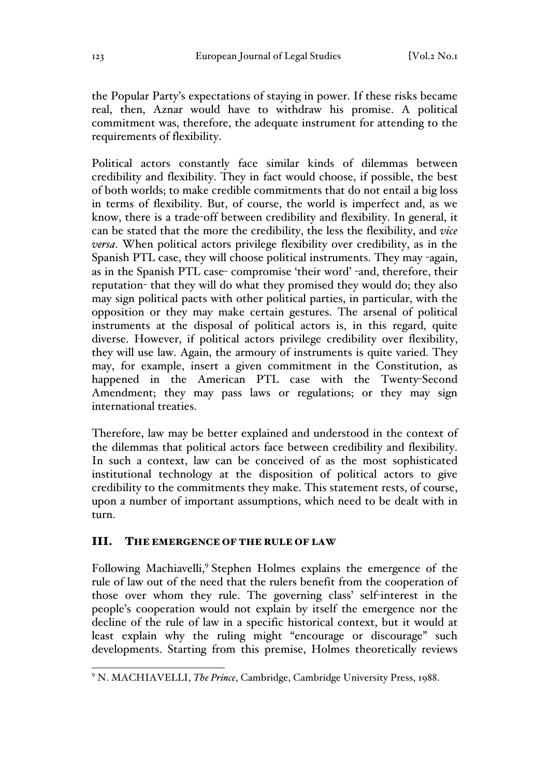the Popular Party's expectations of staying in power. If these risks became real, then, Aznar would have to withdraw his promise. A political commitment was, therefore, the adequate instrument for attending to the requirements of flexibility.

Political actors constantly face similar kinds of dilemmas between credibility and flexibility. They in fact would choose, if possible, the best of both worlds; to make credible commitments that do not entail a big loss in terms of flexibility. But, of course, the world is imperfect and, as we know, there is a trade-off between credibility and flexibility. In general, it can be stated that the more the credibility, the less the flexibility, and *vice versa*. When political actors privilege flexibility over credibility, as in the Spanish PTL case, they will choose political instruments. They may -again, as in the Spanish PTL case- compromise 'their word' -and, therefore, their reputation- that they will do what they promised they would do; they also may sign political pacts with other political parties, in particular, with the opposition or they may make certain gestures. The arsenal of political instruments at the disposal of political actors is, in this regard, quite diverse. However, if political actors privilege credibility over flexibility, they will use law. Again, the armoury of instruments is quite varied. They may, for example, insert a given commitment in the Constitution, as happened in the American PTL case with the Twenty-Second Amendment; they may pass laws or regulations; or they may sign international treaties.

Therefore, law may be better explained and understood in the context of the dilemmas that political actors face between credibility and flexibility. In such a context, law can be conceived of as the most sophisticated institutional technology at the disposition of political actors to give credibility to the commitments they make. This statement rests, of course, upon a number of important assumptions, which need to be dealt with in turn.

### III. THE EMERGENCE OF THE RULE OF LAW

Following Machiavelli,<sup>9</sup> Stephen Holmes explains the emergence of the rule of law out of the need that the rulers benefit from the cooperation of those over whom they rule. The governing class' self-interest in the people's cooperation would not explain by itself the emergence nor the decline of the rule of law in a specific historical context, but it would at least explain why the ruling might "encourage or discourage" such developments. Starting from this premise, Holmes theoretically reviews

 <sup>9</sup> N. MACHIAVELLI, *The Prince*, Cambridge, Cambridge University Press, 1988.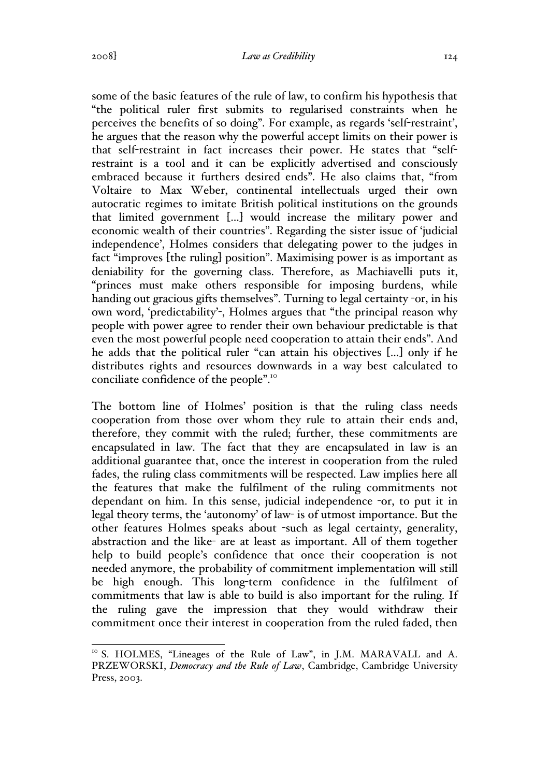some of the basic features of the rule of law, to confirm his hypothesis that "the political ruler first submits to regularised constraints when he perceives the benefits of so doing". For example, as regards 'self-restraint', he argues that the reason why the powerful accept limits on their power is that self-restraint in fact increases their power. He states that "selfrestraint is a tool and it can be explicitly advertised and consciously embraced because it furthers desired ends". He also claims that, "from Voltaire to Max Weber, continental intellectuals urged their own autocratic regimes to imitate British political institutions on the grounds that limited government […] would increase the military power and economic wealth of their countries". Regarding the sister issue of 'judicial independence', Holmes considers that delegating power to the judges in fact "improves [the ruling] position". Maximising power is as important as deniability for the governing class. Therefore, as Machiavelli puts it, "princes must make others responsible for imposing burdens, while handing out gracious gifts themselves". Turning to legal certainty -or, in his own word, 'predictability'-, Holmes argues that "the principal reason why people with power agree to render their own behaviour predictable is that even the most powerful people need cooperation to attain their ends". And he adds that the political ruler "can attain his objectives […] only if he distributes rights and resources downwards in a way best calculated to conciliate confidence of the people".10

The bottom line of Holmes' position is that the ruling class needs cooperation from those over whom they rule to attain their ends and, therefore, they commit with the ruled; further, these commitments are encapsulated in law. The fact that they are encapsulated in law is an additional guarantee that, once the interest in cooperation from the ruled fades, the ruling class commitments will be respected. Law implies here all the features that make the fulfilment of the ruling commitments not dependant on him. In this sense, judicial independence -or, to put it in legal theory terms, the 'autonomy' of law- is of utmost importance. But the other features Holmes speaks about -such as legal certainty, generality, abstraction and the like- are at least as important. All of them together help to build people's confidence that once their cooperation is not needed anymore, the probability of commitment implementation will still be high enough. This long-term confidence in the fulfilment of commitments that law is able to build is also important for the ruling. If the ruling gave the impression that they would withdraw their commitment once their interest in cooperation from the ruled faded, then

<sup>&</sup>lt;sup>10</sup> S. HOLMES, "Lineages of the Rule of Law", in J.M. MARAVALL and A. PRZEWORSKI, *Democracy and the Rule of Law*, Cambridge, Cambridge University Press, 2003.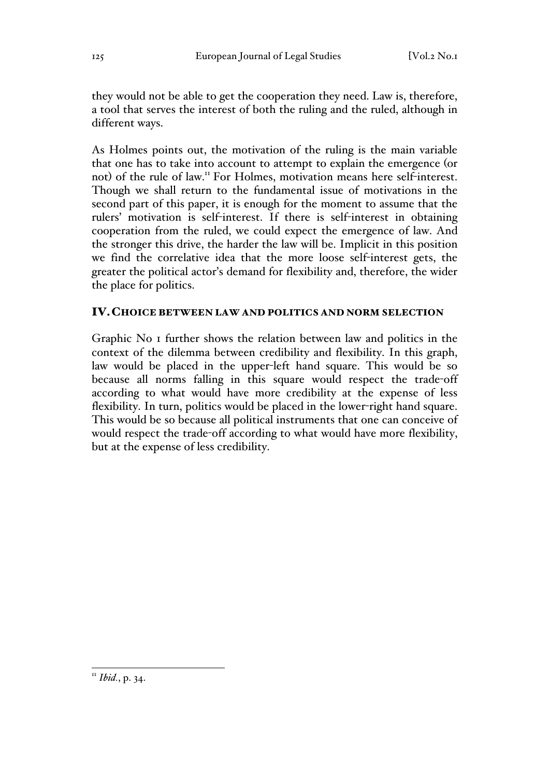they would not be able to get the cooperation they need. Law is, therefore, a tool that serves the interest of both the ruling and the ruled, although in different ways.

As Holmes points out, the motivation of the ruling is the main variable that one has to take into account to attempt to explain the emergence (or not) of the rule of law.11 For Holmes, motivation means here self-interest. Though we shall return to the fundamental issue of motivations in the second part of this paper, it is enough for the moment to assume that the rulers' motivation is self-interest. If there is self-interest in obtaining cooperation from the ruled, we could expect the emergence of law. And the stronger this drive, the harder the law will be. Implicit in this position we find the correlative idea that the more loose self-interest gets, the greater the political actor's demand for flexibility and, therefore, the wider the place for politics.

### IV.CHOICE BETWEEN LAW AND POLITICS AND NORM SELECTION

Graphic No 1 further shows the relation between law and politics in the context of the dilemma between credibility and flexibility. In this graph, law would be placed in the upper-left hand square. This would be so because all norms falling in this square would respect the trade-off according to what would have more credibility at the expense of less flexibility. In turn, politics would be placed in the lower-right hand square. This would be so because all political instruments that one can conceive of would respect the trade-off according to what would have more flexibility, but at the expense of less credibility.

 <sup>11</sup> *Ibid.*, p. 34.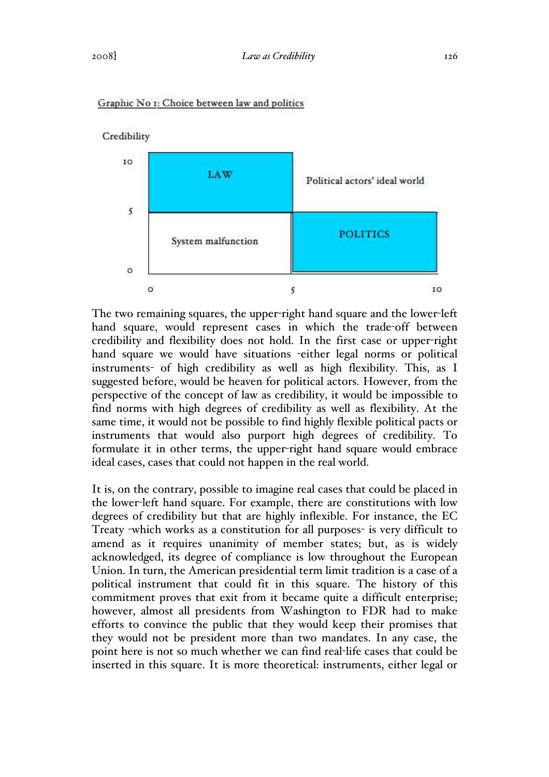

#### Graphic No 1: Choice between law and politics

The two remaining squares, the upper-right hand square and the lower-left hand square, would represent cases in which the trade-off between credibility and flexibility does not hold. In the first case or upper-right hand square we would have situations -either legal norms or political instruments- of high credibility as well as high flexibility. This, as I suggested before, would be heaven for political actors. However, from the perspective of the concept of law as credibility, it would be impossible to find norms with high degrees of credibility as well as flexibility. At the same time, it would not be possible to find highly flexible political pacts or instruments that would also purport high degrees of credibility. To formulate it in other terms, the upper-right hand square would embrace ideal cases, cases that could not happen in the real world.

It is, on the contrary, possible to imagine real cases that could be placed in the lower-left hand square. For example, there are constitutions with low degrees of credibility but that are highly inflexible. For instance, the EC Treaty -which works as a constitution for all purposes- is very difficult to amend as it requires unanimity of member states; but, as is widely acknowledged, its degree of compliance is low throughout the European Union. In turn, the American presidential term limit tradition is a case of a political instrument that could fit in this square. The history of this commitment proves that exit from it became quite a difficult enterprise; however, almost all presidents from Washington to FDR had to make efforts to convince the public that they would keep their promises that they would not be president more than two mandates. In any case, the point here is not so much whether we can find real-life cases that could be inserted in this square. It is more theoretical: instruments, either legal or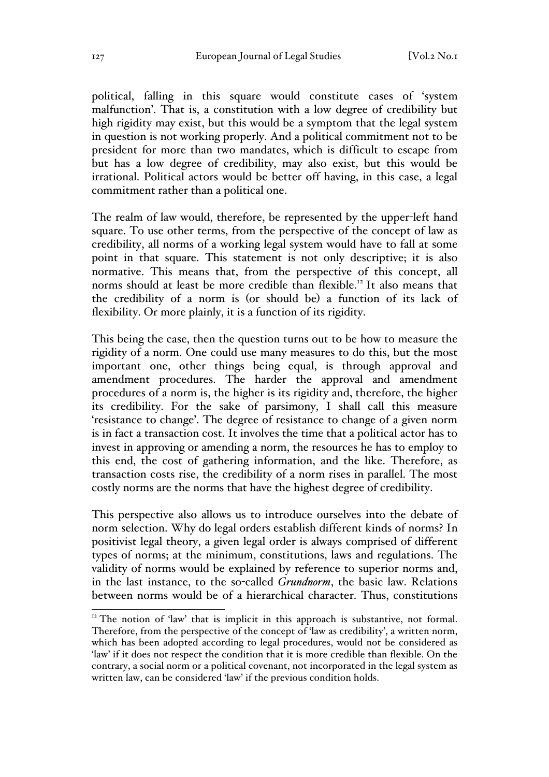political, falling in this square would constitute cases of 'system malfunction'. That is, a constitution with a low degree of credibility but high rigidity may exist, but this would be a symptom that the legal system in question is not working properly. And a political commitment not to be president for more than two mandates, which is difficult to escape from but has a low degree of credibility, may also exist, but this would be irrational. Political actors would be better off having, in this case, a legal commitment rather than a political one.

The realm of law would, therefore, be represented by the upper-left hand square. To use other terms, from the perspective of the concept of law as credibility, all norms of a working legal system would have to fall at some point in that square. This statement is not only descriptive; it is also normative. This means that, from the perspective of this concept, all norms should at least be more credible than flexible.<sup>12</sup> It also means that the credibility of a norm is (or should be) a function of its lack of flexibility. Or more plainly, it is a function of its rigidity.

This being the case, then the question turns out to be how to measure the rigidity of a norm. One could use many measures to do this, but the most important one, other things being equal, is through approval and amendment procedures. The harder the approval and amendment procedures of a norm is, the higher is its rigidity and, therefore, the higher its credibility. For the sake of parsimony, I shall call this measure 'resistance to change'. The degree of resistance to change of a given norm is in fact a transaction cost. It involves the time that a political actor has to invest in approving or amending a norm, the resources he has to employ to this end, the cost of gathering information, and the like. Therefore, as transaction costs rise, the credibility of a norm rises in parallel. The most costly norms are the norms that have the highest degree of credibility.

This perspective also allows us to introduce ourselves into the debate of norm selection. Why do legal orders establish different kinds of norms? In positivist legal theory, a given legal order is always comprised of different types of norms; at the minimum, constitutions, laws and regulations. The validity of norms would be explained by reference to superior norms and, in the last instance, to the so-called *Grundnorm*, the basic law. Relations between norms would be of a hierarchical character. Thus, constitutions

<sup>&</sup>lt;sup>12</sup> The notion of 'law' that is implicit in this approach is substantive, not formal. Therefore, from the perspective of the concept of 'law as credibility', a written norm, which has been adopted according to legal procedures, would not be considered as 'law' if it does not respect the condition that it is more credible than flexible. On the contrary, a social norm or a political covenant, not incorporated in the legal system as written law, can be considered 'law' if the previous condition holds.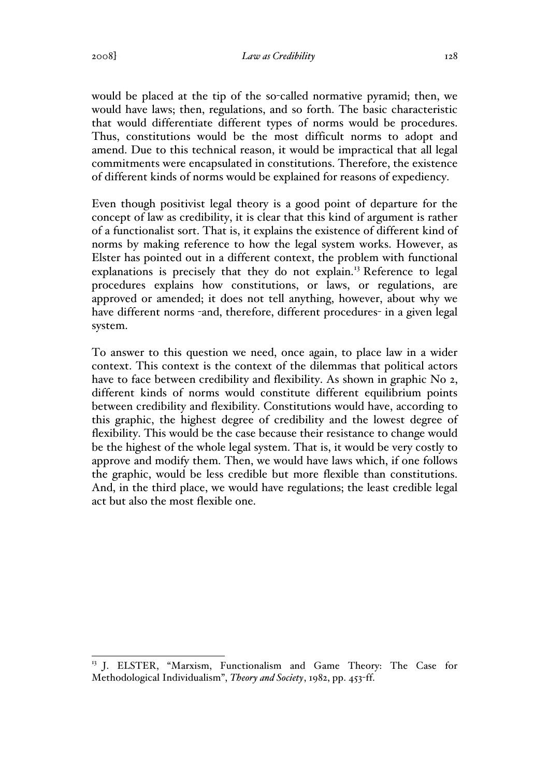would be placed at the tip of the so-called normative pyramid; then, we would have laws; then, regulations, and so forth. The basic characteristic that would differentiate different types of norms would be procedures. Thus, constitutions would be the most difficult norms to adopt and amend. Due to this technical reason, it would be impractical that all legal commitments were encapsulated in constitutions. Therefore, the existence of different kinds of norms would be explained for reasons of expediency.

Even though positivist legal theory is a good point of departure for the concept of law as credibility, it is clear that this kind of argument is rather of a functionalist sort. That is, it explains the existence of different kind of norms by making reference to how the legal system works. However, as Elster has pointed out in a different context, the problem with functional explanations is precisely that they do not explain.<sup>13</sup> Reference to legal procedures explains how constitutions, or laws, or regulations, are approved or amended; it does not tell anything, however, about why we have different norms -and, therefore, different procedures- in a given legal system.

To answer to this question we need, once again, to place law in a wider context. This context is the context of the dilemmas that political actors have to face between credibility and flexibility. As shown in graphic No 2, different kinds of norms would constitute different equilibrium points between credibility and flexibility. Constitutions would have, according to this graphic, the highest degree of credibility and the lowest degree of flexibility. This would be the case because their resistance to change would be the highest of the whole legal system. That is, it would be very costly to approve and modify them. Then, we would have laws which, if one follows the graphic, would be less credible but more flexible than constitutions. And, in the third place, we would have regulations; the least credible legal act but also the most flexible one.

<sup>&</sup>lt;sup>13</sup> J. ELSTER, "Marxism, Functionalism and Game Theory: The Case for Methodological Individualism", *Theory and Society*, 1982, pp. 453-ff.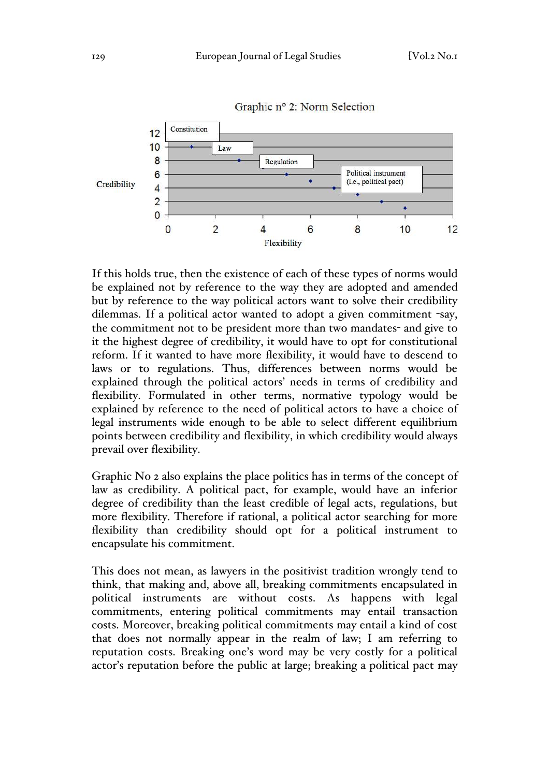

Graphic nº 2: Norm Selection

If this holds true, then the existence of each of these types of norms would be explained not by reference to the way they are adopted and amended but by reference to the way political actors want to solve their credibility dilemmas. If a political actor wanted to adopt a given commitment -say, the commitment not to be president more than two mandates- and give to it the highest degree of credibility, it would have to opt for constitutional reform. If it wanted to have more flexibility, it would have to descend to laws or to regulations. Thus, differences between norms would be explained through the political actors' needs in terms of credibility and flexibility. Formulated in other terms, normative typology would be explained by reference to the need of political actors to have a choice of legal instruments wide enough to be able to select different equilibrium points between credibility and flexibility, in which credibility would always prevail over flexibility.

Graphic No 2 also explains the place politics has in terms of the concept of law as credibility. A political pact, for example, would have an inferior degree of credibility than the least credible of legal acts, regulations, but more flexibility. Therefore if rational, a political actor searching for more flexibility than credibility should opt for a political instrument to encapsulate his commitment.

This does not mean, as lawyers in the positivist tradition wrongly tend to think, that making and, above all, breaking commitments encapsulated in political instruments are without costs. As happens with legal commitments, entering political commitments may entail transaction costs. Moreover, breaking political commitments may entail a kind of cost that does not normally appear in the realm of law; I am referring to reputation costs. Breaking one's word may be very costly for a political actor's reputation before the public at large; breaking a political pact may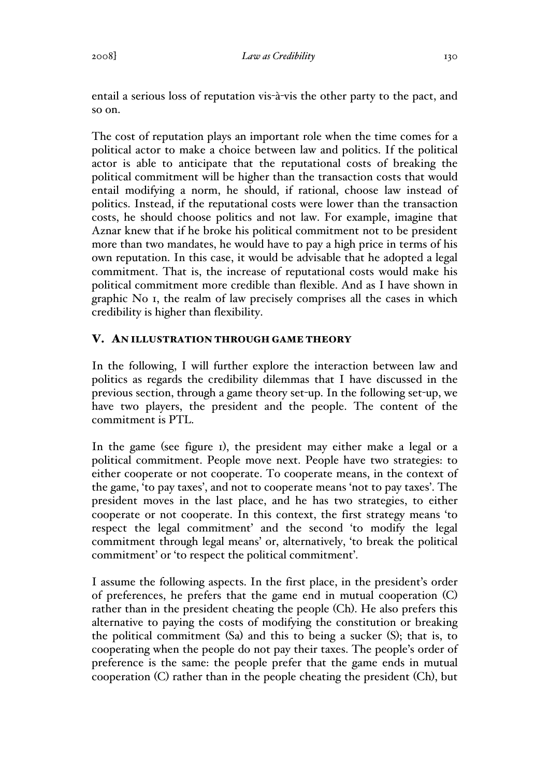entail a serious loss of reputation vis-à-vis the other party to the pact, and so on.

The cost of reputation plays an important role when the time comes for a political actor to make a choice between law and politics. If the political actor is able to anticipate that the reputational costs of breaking the political commitment will be higher than the transaction costs that would entail modifying a norm, he should, if rational, choose law instead of politics. Instead, if the reputational costs were lower than the transaction costs, he should choose politics and not law. For example, imagine that Aznar knew that if he broke his political commitment not to be president more than two mandates, he would have to pay a high price in terms of his own reputation. In this case, it would be advisable that he adopted a legal commitment. That is, the increase of reputational costs would make his political commitment more credible than flexible. And as I have shown in graphic No 1, the realm of law precisely comprises all the cases in which credibility is higher than flexibility.

## V. AN ILLUSTRATION THROUGH GAME THEORY

In the following, I will further explore the interaction between law and politics as regards the credibility dilemmas that I have discussed in the previous section, through a game theory set-up. In the following set-up, we have two players, the president and the people. The content of the commitment is PTL.

In the game (see figure 1), the president may either make a legal or a political commitment. People move next. People have two strategies: to either cooperate or not cooperate. To cooperate means, in the context of the game, 'to pay taxes', and not to cooperate means 'not to pay taxes'. The president moves in the last place, and he has two strategies, to either cooperate or not cooperate. In this context, the first strategy means 'to respect the legal commitment' and the second 'to modify the legal commitment through legal means' or, alternatively, 'to break the political commitment' or 'to respect the political commitment'.

I assume the following aspects. In the first place, in the president's order of preferences, he prefers that the game end in mutual cooperation (C) rather than in the president cheating the people (Ch). He also prefers this alternative to paying the costs of modifying the constitution or breaking the political commitment (Sa) and this to being a sucker (S); that is, to cooperating when the people do not pay their taxes. The people's order of preference is the same: the people prefer that the game ends in mutual cooperation (C) rather than in the people cheating the president (Ch), but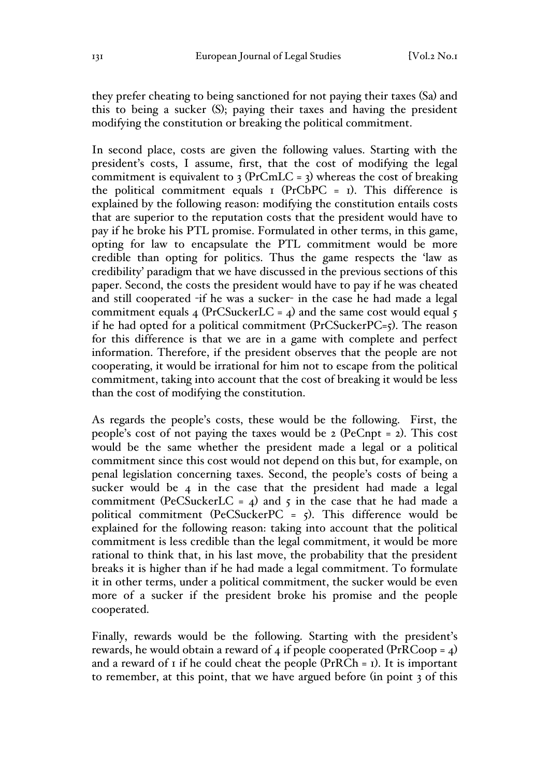they prefer cheating to being sanctioned for not paying their taxes (Sa) and this to being a sucker (S); paying their taxes and having the president modifying the constitution or breaking the political commitment.

In second place, costs are given the following values. Starting with the president's costs, I assume, first, that the cost of modifying the legal commitment is equivalent to  $3 \text{ (PrCmLC = 3)}$  whereas the cost of breaking the political commitment equals  $I$  (PrCbPC =  $I$ ). This difference is explained by the following reason: modifying the constitution entails costs that are superior to the reputation costs that the president would have to pay if he broke his PTL promise. Formulated in other terms, in this game, opting for law to encapsulate the PTL commitment would be more credible than opting for politics. Thus the game respects the 'law as credibility' paradigm that we have discussed in the previous sections of this paper. Second, the costs the president would have to pay if he was cheated and still cooperated -if he was a sucker- in the case he had made a legal commitment equals 4 (PrCSuckerLC = 4) and the same cost would equal  $\zeta$ if he had opted for a political commitment (PrCSuckerPC=5). The reason for this difference is that we are in a game with complete and perfect information. Therefore, if the president observes that the people are not cooperating, it would be irrational for him not to escape from the political commitment, taking into account that the cost of breaking it would be less than the cost of modifying the constitution.

As regards the people's costs, these would be the following. First, the people's cost of not paying the taxes would be  $2$  (PeCnpt = 2). This cost would be the same whether the president made a legal or a political commitment since this cost would not depend on this but, for example, on penal legislation concerning taxes. Second, the people's costs of being a sucker would be 4 in the case that the president had made a legal commitment (PeCSuckerLC =  $4$ ) and  $5$  in the case that he had made a political commitment (PeCSuckerPC =  $5$ ). This difference would be explained for the following reason: taking into account that the political commitment is less credible than the legal commitment, it would be more rational to think that, in his last move, the probability that the president breaks it is higher than if he had made a legal commitment. To formulate it in other terms, under a political commitment, the sucker would be even more of a sucker if the president broke his promise and the people cooperated.

Finally, rewards would be the following. Starting with the president's rewards, he would obtain a reward of 4 if people cooperated ( $PrRCoop = 4$ ) and a reward of  $\bar{I}$  if he could cheat the people (PrRCh =  $\bar{I}$ ). It is important to remember, at this point, that we have argued before (in point 3 of this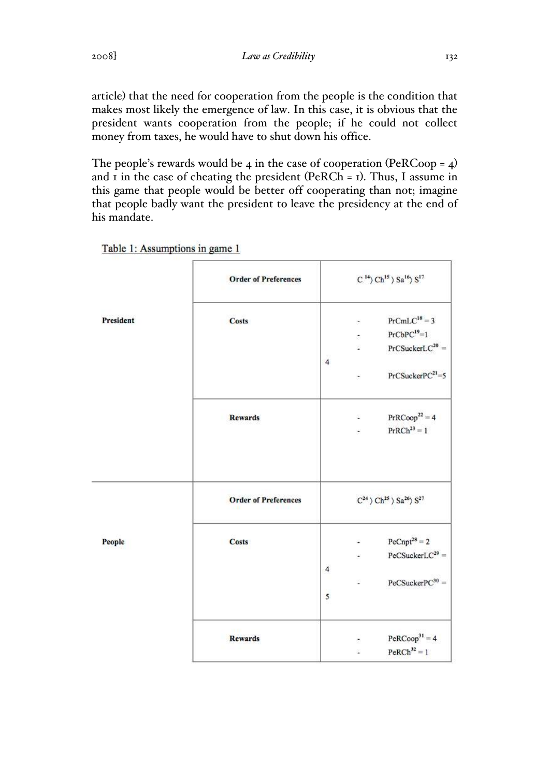article) that the need for cooperation from the people is the condition that makes most likely the emergence of law. In this case, it is obvious that the president wants cooperation from the people; if he could not collect money from taxes, he would have to shut down his office.

The people's rewards would be 4 in the case of cooperation (PeRCoop =  $4$ ) and  $\bar{I}$  in the case of cheating the president (PeRCh =  $\bar{I}$ ). Thus, I assume in this game that people would be better off cooperating than not; imagine that people badly want the president to leave the presidency at the end of his mandate.

|           | <b>Order of Preferences</b> | $C^{14}$ Ch <sup>15</sup> > Sa <sup>16</sup> > S <sup>17</sup>                                                     |  |  |  |
|-----------|-----------------------------|--------------------------------------------------------------------------------------------------------------------|--|--|--|
| President | <b>Costs</b>                | $PrCmLC18 = 3$<br>٠<br>$PrCbPC19=1$<br>$\sim$<br>$PrCSuckerLC^{20} =$<br>$\overline{4}$<br>$PrCSuckerPC21=5$<br>ä, |  |  |  |
|           | <b>Rewards</b>              | $PrRCoop22 = 4$<br>ä,<br>$\mathrm{PrRCh}^{23}=1$                                                                   |  |  |  |
|           | <b>Order of Preferences</b> | $\rm C^{24} \, \rangle \, \rm Ch^{25} \, \rangle \, \rm Sa^{26} \rangle \, \rm S^{27}$                             |  |  |  |
| People    | <b>Costs</b>                | $PeCnpt^{28} = 2$<br>$PeCSucker LC^{29} =$<br>÷<br>4<br>$PeCSuckerPC30 =$<br>Ľ.<br>5                               |  |  |  |
|           | <b>Rewards</b>              | $PeRCoop31 = 4$<br>$PeRCh^{32} = 1$<br>ź,                                                                          |  |  |  |

Table 1: Assumptions in game 1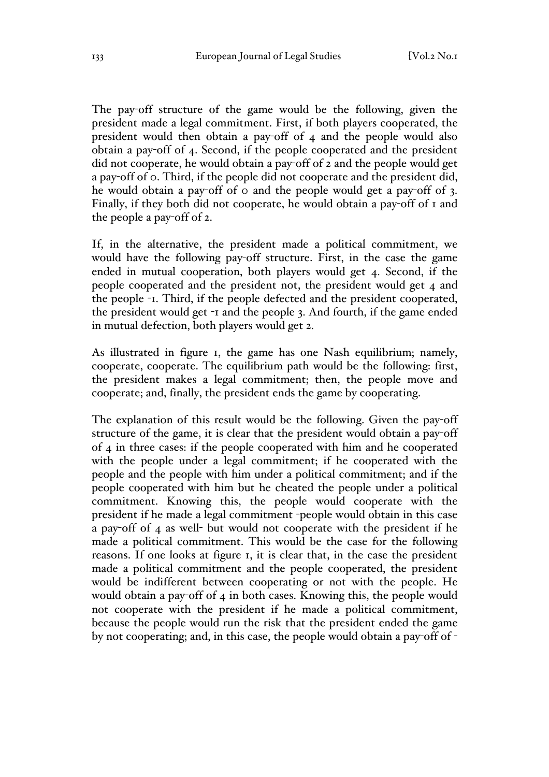The pay-off structure of the game would be the following, given the president made a legal commitment. First, if both players cooperated, the president would then obtain a pay-off of 4 and the people would also obtain a pay-off of 4. Second, if the people cooperated and the president did not cooperate, he would obtain a pay-off of 2 and the people would get a pay-off of 0. Third, if the people did not cooperate and the president did, he would obtain a pay-off of 0 and the people would get a pay-off of 3. Finally, if they both did not cooperate, he would obtain a pay-off of 1 and the people a pay-off of 2.

If, in the alternative, the president made a political commitment, we would have the following pay-off structure. First, in the case the game ended in mutual cooperation, both players would get 4. Second, if the people cooperated and the president not, the president would get 4 and the people -1. Third, if the people defected and the president cooperated, the president would get -1 and the people 3. And fourth, if the game ended in mutual defection, both players would get 2.

As illustrated in figure 1, the game has one Nash equilibrium; namely, cooperate, cooperate. The equilibrium path would be the following: first, the president makes a legal commitment; then, the people move and cooperate; and, finally, the president ends the game by cooperating.

The explanation of this result would be the following. Given the pay-off structure of the game, it is clear that the president would obtain a pay-off of 4 in three cases: if the people cooperated with him and he cooperated with the people under a legal commitment; if he cooperated with the people and the people with him under a political commitment; and if the people cooperated with him but he cheated the people under a political commitment. Knowing this, the people would cooperate with the president if he made a legal commitment -people would obtain in this case a pay-off of 4 as well- but would not cooperate with the president if he made a political commitment. This would be the case for the following reasons. If one looks at figure 1, it is clear that, in the case the president made a political commitment and the people cooperated, the president would be indifferent between cooperating or not with the people. He would obtain a pay-off of 4 in both cases. Knowing this, the people would not cooperate with the president if he made a political commitment, because the people would run the risk that the president ended the game by not cooperating; and, in this case, the people would obtain a pay-off of -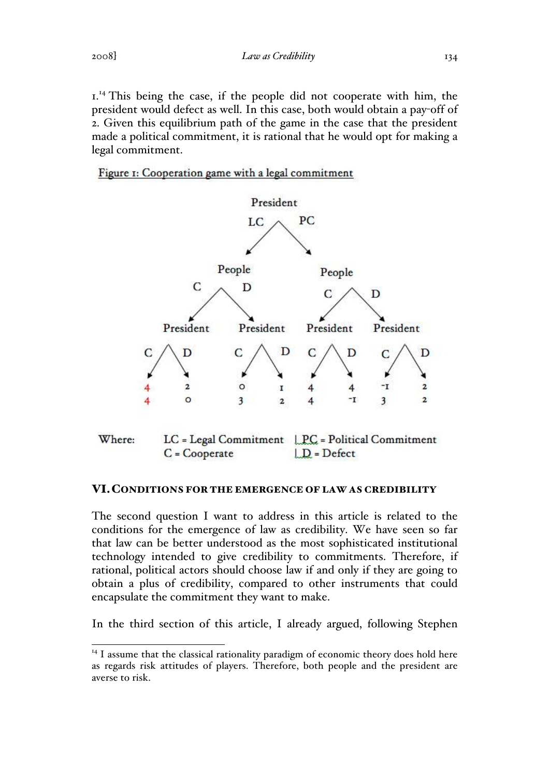$1^{14}$ . This being the case, if the people did not cooperate with him, the president would defect as well. In this case, both would obtain a pay-off of 2. Given this equilibrium path of the game in the case that the president made a political commitment, it is rational that he would opt for making a legal commitment.

Figure 1: Cooperation game with a legal commitment



### VI.CONDITIONS FOR THE EMERGENCE OF LAW AS CREDIBILITY

The second question I want to address in this article is related to the conditions for the emergence of law as credibility. We have seen so far that law can be better understood as the most sophisticated institutional technology intended to give credibility to commitments. Therefore, if rational, political actors should choose law if and only if they are going to obtain a plus of credibility, compared to other instruments that could encapsulate the commitment they want to make.

In the third section of this article, I already argued, following Stephen

 $14$  I assume that the classical rationality paradigm of economic theory does hold here as regards risk attitudes of players. Therefore, both people and the president are averse to risk.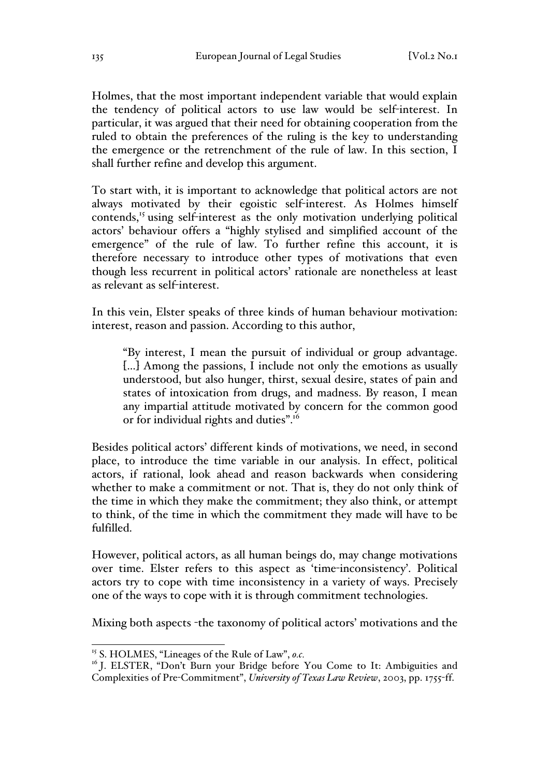Holmes, that the most important independent variable that would explain the tendency of political actors to use law would be self-interest. In particular, it was argued that their need for obtaining cooperation from the ruled to obtain the preferences of the ruling is the key to understanding the emergence or the retrenchment of the rule of law. In this section, I shall further refine and develop this argument.

To start with, it is important to acknowledge that political actors are not always motivated by their egoistic self-interest. As Holmes himself contends,<sup>15</sup> using self-interest as the only motivation underlying political actors' behaviour offers a "highly stylised and simplified account of the emergence" of the rule of law. To further refine this account, it is therefore necessary to introduce other types of motivations that even though less recurrent in political actors' rationale are nonetheless at least as relevant as self-interest.

In this vein, Elster speaks of three kinds of human behaviour motivation: interest, reason and passion. According to this author,

"By interest, I mean the pursuit of individual or group advantage. […] Among the passions, I include not only the emotions as usually understood, but also hunger, thirst, sexual desire, states of pain and states of intoxication from drugs, and madness. By reason, I mean any impartial attitude motivated by concern for the common good or for individual rights and duties".<sup>16</sup>

Besides political actors' different kinds of motivations, we need, in second place, to introduce the time variable in our analysis. In effect, political actors, if rational, look ahead and reason backwards when considering whether to make a commitment or not. That is, they do not only think of the time in which they make the commitment; they also think, or attempt to think, of the time in which the commitment they made will have to be fulfilled.

However, political actors, as all human beings do, may change motivations over time. Elster refers to this aspect as 'time-inconsistency'. Political actors try to cope with time inconsistency in a variety of ways. Precisely one of the ways to cope with it is through commitment technologies.

Mixing both aspects -the taxonomy of political actors' motivations and the

 <sup>15</sup> S. HOLMES, "Lineages of the Rule of Law", *o.c.*

<sup>&</sup>lt;sup>16</sup> J. ELSTER, "Don't Burn your Bridge before You Come to It: Ambiguities and Complexities of Pre-Commitment", *University of Texas Law Review*, 2003, pp. 1755-ff.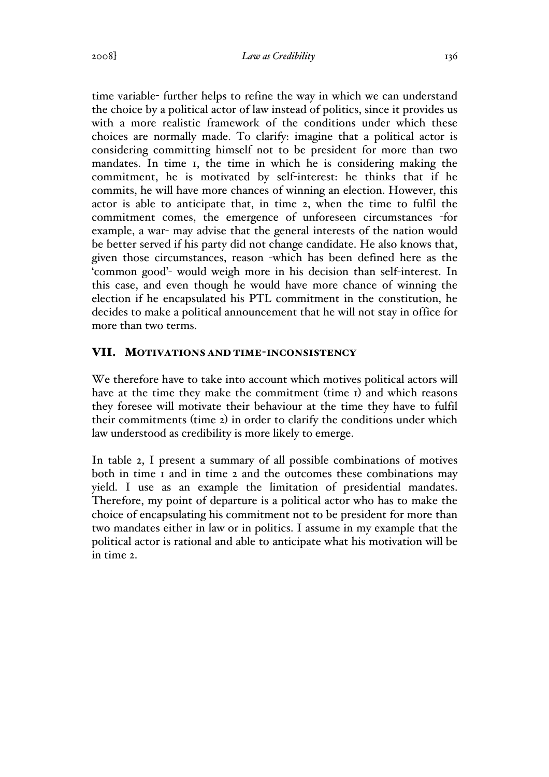time variable- further helps to refine the way in which we can understand the choice by a political actor of law instead of politics, since it provides us with a more realistic framework of the conditions under which these choices are normally made. To clarify: imagine that a political actor is considering committing himself not to be president for more than two mandates. In time 1, the time in which he is considering making the commitment, he is motivated by self-interest: he thinks that if he commits, he will have more chances of winning an election. However, this actor is able to anticipate that, in time 2, when the time to fulfil the commitment comes, the emergence of unforeseen circumstances -for example, a war- may advise that the general interests of the nation would be better served if his party did not change candidate. He also knows that, given those circumstances, reason -which has been defined here as the 'common good'- would weigh more in his decision than self-interest. In this case, and even though he would have more chance of winning the election if he encapsulated his PTL commitment in the constitution, he decides to make a political announcement that he will not stay in office for more than two terms.

### VII. MOTIVATIONS AND TIME-INCONSISTENCY

We therefore have to take into account which motives political actors will have at the time they make the commitment (time 1) and which reasons they foresee will motivate their behaviour at the time they have to fulfil their commitments (time 2) in order to clarify the conditions under which law understood as credibility is more likely to emerge.

In table 2, I present a summary of all possible combinations of motives both in time 1 and in time 2 and the outcomes these combinations may yield. I use as an example the limitation of presidential mandates. Therefore, my point of departure is a political actor who has to make the choice of encapsulating his commitment not to be president for more than two mandates either in law or in politics. I assume in my example that the political actor is rational and able to anticipate what his motivation will be in time 2.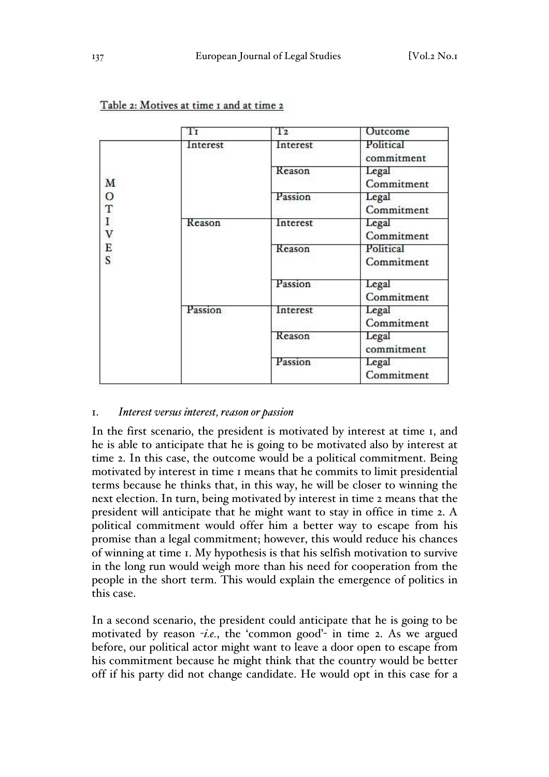|                                       | Тr       | T <sub>2</sub> | Outcome                 |  |
|---------------------------------------|----------|----------------|-------------------------|--|
| M<br>$\circ$<br>T<br>I<br>V<br>E<br>S | Interest | Interest       | Political<br>commitment |  |
|                                       |          | Reason         | Legal<br>Commitment     |  |
|                                       |          | Passion        | Legal<br>Commitment     |  |
|                                       | Reason   | Interest       | Legal<br>Commitment     |  |
|                                       |          | Reason         | Political<br>Commitment |  |
|                                       |          | Passion        | Legal<br>Commitment     |  |
|                                       | Passion  | Interest       | Legal<br>Commitment     |  |
|                                       |          | Reason         | Legal<br>commitment     |  |
|                                       |          | Passion        | Legal<br>Commitment     |  |

|  | Table 2: Motives at time I and at time 2 |  |  |  |  |
|--|------------------------------------------|--|--|--|--|
|  |                                          |  |  |  |  |

### 1. *Interest versus interest, reason or passion*

In the first scenario, the president is motivated by interest at time 1, and he is able to anticipate that he is going to be motivated also by interest at time 2. In this case, the outcome would be a political commitment. Being motivated by interest in time 1 means that he commits to limit presidential terms because he thinks that, in this way, he will be closer to winning the next election. In turn, being motivated by interest in time 2 means that the president will anticipate that he might want to stay in office in time 2. A political commitment would offer him a better way to escape from his promise than a legal commitment; however, this would reduce his chances of winning at time 1. My hypothesis is that his selfish motivation to survive in the long run would weigh more than his need for cooperation from the people in the short term. This would explain the emergence of politics in this case.

In a second scenario, the president could anticipate that he is going to be motivated by reason -*i.e.*, the 'common good'- in time 2. As we argued before, our political actor might want to leave a door open to escape from his commitment because he might think that the country would be better off if his party did not change candidate. He would opt in this case for a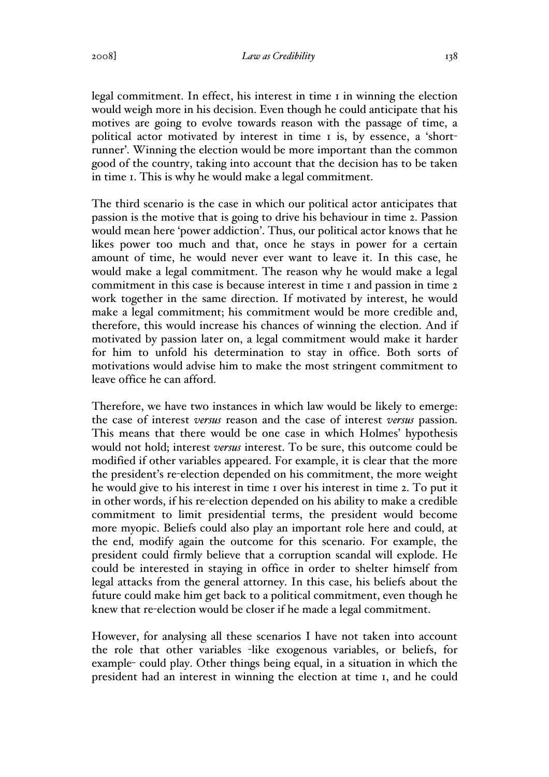legal commitment. In effect, his interest in time 1 in winning the election would weigh more in his decision. Even though he could anticipate that his motives are going to evolve towards reason with the passage of time, a political actor motivated by interest in time 1 is, by essence, a 'shortrunner'. Winning the election would be more important than the common good of the country, taking into account that the decision has to be taken in time 1. This is why he would make a legal commitment.

The third scenario is the case in which our political actor anticipates that passion is the motive that is going to drive his behaviour in time 2. Passion would mean here 'power addiction'. Thus, our political actor knows that he likes power too much and that, once he stays in power for a certain amount of time, he would never ever want to leave it. In this case, he would make a legal commitment. The reason why he would make a legal commitment in this case is because interest in time 1 and passion in time 2 work together in the same direction. If motivated by interest, he would make a legal commitment; his commitment would be more credible and, therefore, this would increase his chances of winning the election. And if motivated by passion later on, a legal commitment would make it harder for him to unfold his determination to stay in office. Both sorts of motivations would advise him to make the most stringent commitment to leave office he can afford.

Therefore, we have two instances in which law would be likely to emerge: the case of interest *versus* reason and the case of interest *versus* passion. This means that there would be one case in which Holmes' hypothesis would not hold; interest *versus* interest. To be sure, this outcome could be modified if other variables appeared. For example, it is clear that the more the president's re-election depended on his commitment, the more weight he would give to his interest in time 1 over his interest in time 2. To put it in other words, if his re-election depended on his ability to make a credible commitment to limit presidential terms, the president would become more myopic. Beliefs could also play an important role here and could, at the end, modify again the outcome for this scenario. For example, the president could firmly believe that a corruption scandal will explode. He could be interested in staying in office in order to shelter himself from legal attacks from the general attorney. In this case, his beliefs about the future could make him get back to a political commitment, even though he knew that re-election would be closer if he made a legal commitment.

However, for analysing all these scenarios I have not taken into account the role that other variables -like exogenous variables, or beliefs, for example- could play. Other things being equal, in a situation in which the president had an interest in winning the election at time 1, and he could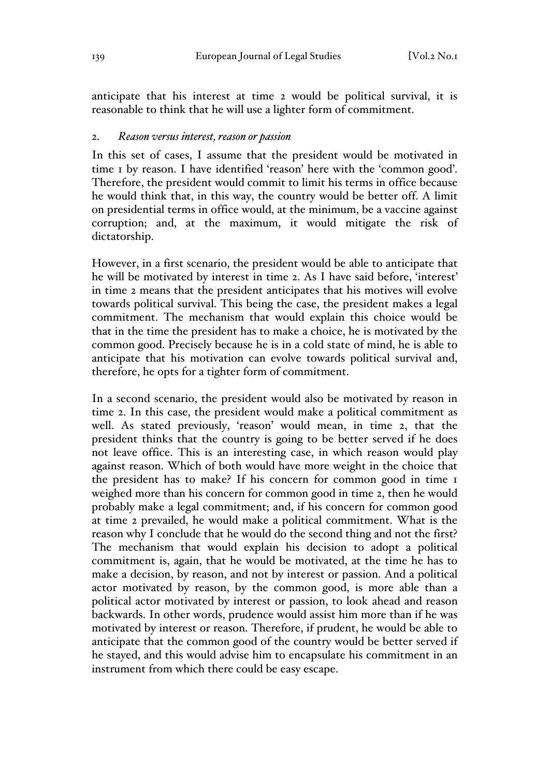anticipate that his interest at time 2 would be political survival, it is reasonable to think that he will use a lighter form of commitment.

#### 2. *Reason versus interest, reason or passion*

In this set of cases, I assume that the president would be motivated in time 1 by reason. I have identified 'reason' here with the 'common good'. Therefore, the president would commit to limit his terms in office because he would think that, in this way, the country would be better off. A limit on presidential terms in office would, at the minimum, be a vaccine against corruption; and, at the maximum, it would mitigate the risk of dictatorship.

However, in a first scenario, the president would be able to anticipate that he will be motivated by interest in time 2. As I have said before, 'interest' in time 2 means that the president anticipates that his motives will evolve towards political survival. This being the case, the president makes a legal commitment. The mechanism that would explain this choice would be that in the time the president has to make a choice, he is motivated by the common good. Precisely because he is in a cold state of mind, he is able to anticipate that his motivation can evolve towards political survival and, therefore, he opts for a tighter form of commitment.

In a second scenario, the president would also be motivated by reason in time 2. In this case, the president would make a political commitment as well. As stated previously, 'reason' would mean, in time 2, that the president thinks that the country is going to be better served if he does not leave office. This is an interesting case, in which reason would play against reason. Which of both would have more weight in the choice that the president has to make? If his concern for common good in time 1 weighed more than his concern for common good in time 2, then he would probably make a legal commitment; and, if his concern for common good at time 2 prevailed, he would make a political commitment. What is the reason why I conclude that he would do the second thing and not the first? The mechanism that would explain his decision to adopt a political commitment is, again, that he would be motivated, at the time he has to make a decision, by reason, and not by interest or passion. And a political actor motivated by reason, by the common good, is more able than a political actor motivated by interest or passion, to look ahead and reason backwards. In other words, prudence would assist him more than if he was motivated by interest or reason. Therefore, if prudent, he would be able to anticipate that the common good of the country would be better served if he stayed, and this would advise him to encapsulate his commitment in an instrument from which there could be easy escape.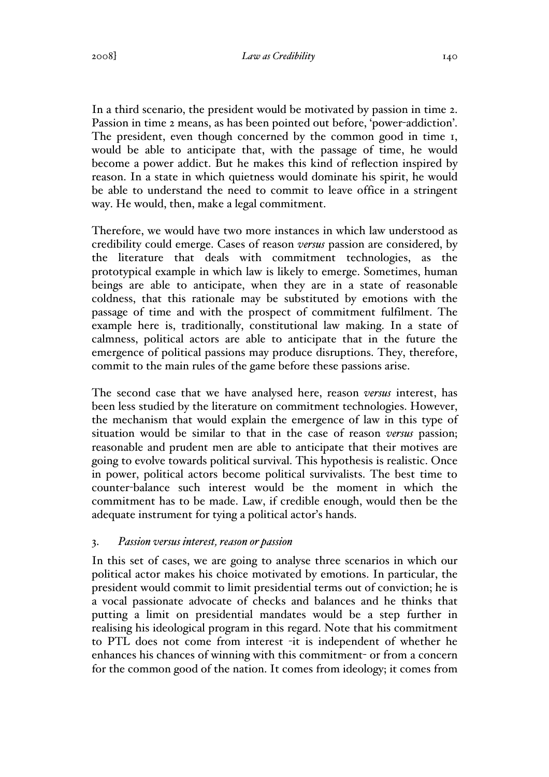In a third scenario, the president would be motivated by passion in time 2. Passion in time 2 means, as has been pointed out before, 'power-addiction'. The president, even though concerned by the common good in time 1, would be able to anticipate that, with the passage of time, he would become a power addict. But he makes this kind of reflection inspired by reason. In a state in which quietness would dominate his spirit, he would be able to understand the need to commit to leave office in a stringent way. He would, then, make a legal commitment.

Therefore, we would have two more instances in which law understood as credibility could emerge. Cases of reason *versus* passion are considered, by the literature that deals with commitment technologies, as the prototypical example in which law is likely to emerge. Sometimes, human beings are able to anticipate, when they are in a state of reasonable coldness, that this rationale may be substituted by emotions with the passage of time and with the prospect of commitment fulfilment. The example here is, traditionally, constitutional law making. In a state of calmness, political actors are able to anticipate that in the future the emergence of political passions may produce disruptions. They, therefore, commit to the main rules of the game before these passions arise.

The second case that we have analysed here, reason *versus* interest, has been less studied by the literature on commitment technologies. However, the mechanism that would explain the emergence of law in this type of situation would be similar to that in the case of reason *versus* passion; reasonable and prudent men are able to anticipate that their motives are going to evolve towards political survival. This hypothesis is realistic. Once in power, political actors become political survivalists. The best time to counter-balance such interest would be the moment in which the commitment has to be made. Law, if credible enough, would then be the adequate instrument for tying a political actor's hands.

#### 3. *Passion versus interest, reason or passion*

In this set of cases, we are going to analyse three scenarios in which our political actor makes his choice motivated by emotions. In particular, the president would commit to limit presidential terms out of conviction; he is a vocal passionate advocate of checks and balances and he thinks that putting a limit on presidential mandates would be a step further in realising his ideological program in this regard. Note that his commitment to PTL does not come from interest -it is independent of whether he enhances his chances of winning with this commitment- or from a concern for the common good of the nation. It comes from ideology; it comes from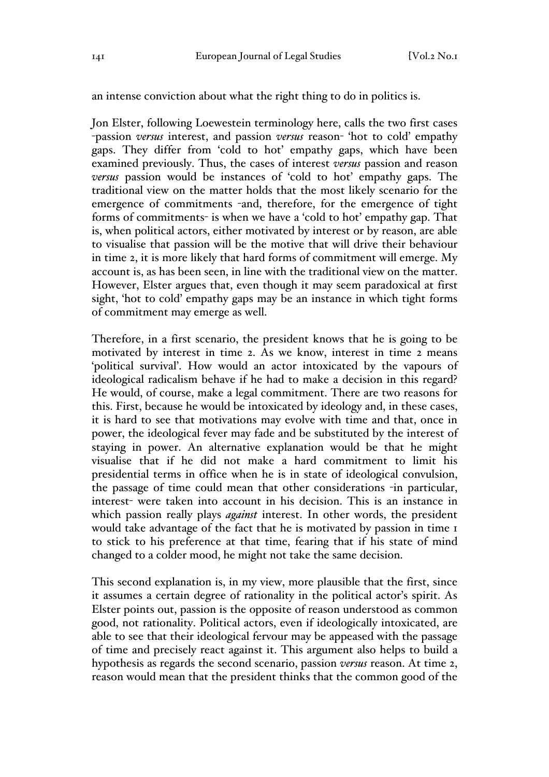an intense conviction about what the right thing to do in politics is.

Jon Elster, following Loewestein terminology here, calls the two first cases -passion *versus* interest, and passion *versus* reason- 'hot to cold' empathy gaps. They differ from 'cold to hot' empathy gaps, which have been examined previously. Thus, the cases of interest *versus* passion and reason *versus* passion would be instances of 'cold to hot' empathy gaps. The traditional view on the matter holds that the most likely scenario for the emergence of commitments -and, therefore, for the emergence of tight forms of commitments- is when we have a 'cold to hot' empathy gap. That is, when political actors, either motivated by interest or by reason, are able to visualise that passion will be the motive that will drive their behaviour in time 2, it is more likely that hard forms of commitment will emerge. My account is, as has been seen, in line with the traditional view on the matter. However, Elster argues that, even though it may seem paradoxical at first sight, 'hot to cold' empathy gaps may be an instance in which tight forms of commitment may emerge as well.

Therefore, in a first scenario, the president knows that he is going to be motivated by interest in time 2. As we know, interest in time 2 means 'political survival'. How would an actor intoxicated by the vapours of ideological radicalism behave if he had to make a decision in this regard? He would, of course, make a legal commitment. There are two reasons for this. First, because he would be intoxicated by ideology and, in these cases, it is hard to see that motivations may evolve with time and that, once in power, the ideological fever may fade and be substituted by the interest of staying in power. An alternative explanation would be that he might visualise that if he did not make a hard commitment to limit his presidential terms in office when he is in state of ideological convulsion, the passage of time could mean that other considerations -in particular, interest- were taken into account in his decision. This is an instance in which passion really plays *against* interest. In other words, the president would take advantage of the fact that he is motivated by passion in time 1 to stick to his preference at that time, fearing that if his state of mind changed to a colder mood, he might not take the same decision.

This second explanation is, in my view, more plausible that the first, since it assumes a certain degree of rationality in the political actor's spirit. As Elster points out, passion is the opposite of reason understood as common good, not rationality. Political actors, even if ideologically intoxicated, are able to see that their ideological fervour may be appeased with the passage of time and precisely react against it. This argument also helps to build a hypothesis as regards the second scenario, passion *versus* reason. At time 2, reason would mean that the president thinks that the common good of the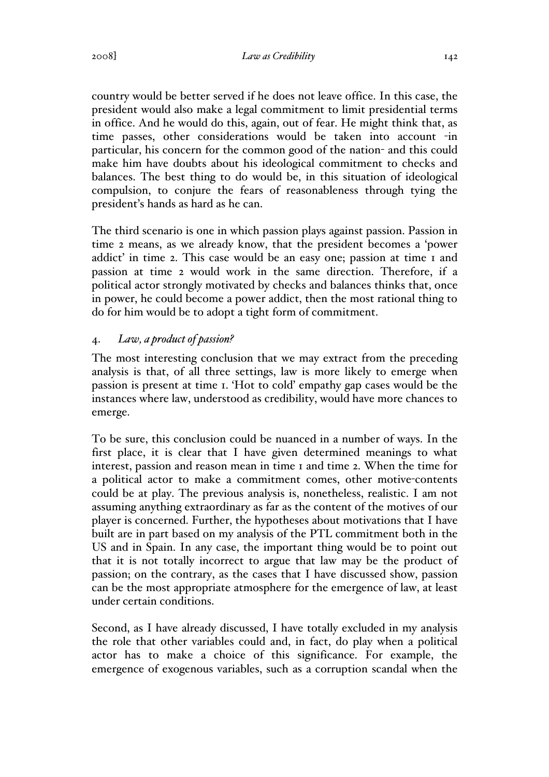country would be better served if he does not leave office. In this case, the president would also make a legal commitment to limit presidential terms in office. And he would do this, again, out of fear. He might think that, as time passes, other considerations would be taken into account -in particular, his concern for the common good of the nation- and this could make him have doubts about his ideological commitment to checks and balances. The best thing to do would be, in this situation of ideological compulsion, to conjure the fears of reasonableness through tying the president's hands as hard as he can.

The third scenario is one in which passion plays against passion. Passion in time 2 means, as we already know, that the president becomes a 'power addict' in time 2. This case would be an easy one; passion at time 1 and passion at time 2 would work in the same direction. Therefore, if a political actor strongly motivated by checks and balances thinks that, once in power, he could become a power addict, then the most rational thing to do for him would be to adopt a tight form of commitment.

# 4. *Law, a product of passion?*

The most interesting conclusion that we may extract from the preceding analysis is that, of all three settings, law is more likely to emerge when passion is present at time 1. 'Hot to cold' empathy gap cases would be the instances where law, understood as credibility, would have more chances to emerge.

To be sure, this conclusion could be nuanced in a number of ways. In the first place, it is clear that I have given determined meanings to what interest, passion and reason mean in time 1 and time 2. When the time for a political actor to make a commitment comes, other motive-contents could be at play. The previous analysis is, nonetheless, realistic. I am not assuming anything extraordinary as far as the content of the motives of our player is concerned. Further, the hypotheses about motivations that I have built are in part based on my analysis of the PTL commitment both in the US and in Spain. In any case, the important thing would be to point out that it is not totally incorrect to argue that law may be the product of passion; on the contrary, as the cases that I have discussed show, passion can be the most appropriate atmosphere for the emergence of law, at least under certain conditions.

Second, as I have already discussed, I have totally excluded in my analysis the role that other variables could and, in fact, do play when a political actor has to make a choice of this significance. For example, the emergence of exogenous variables, such as a corruption scandal when the